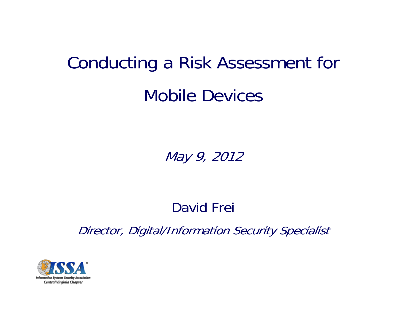# Conducting a Risk Assessment for Mobile Devices

May 9, 2012

### David Frei

Director, Digital/Information Security Specialist

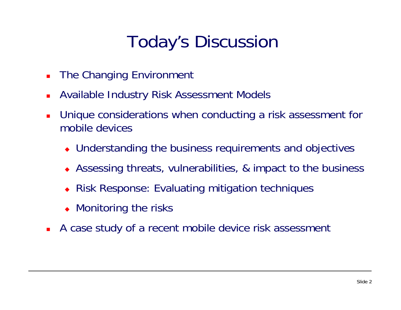## Today's Discussion

- The Changing Environment
- П Available Industry Risk Assessment Models
- $\mathbf{r}$  Unique considerations when conducting a risk assessment for mobile devices
	- Understanding the business requirements and objectives
	- Assessing threats, vulnerabilities, & impact to the business
	- ♦ Risk Response: Evaluating mitigation techniques
	- Monitoring the risks
- $\blacksquare$ A case study of a recent mobile device risk assessment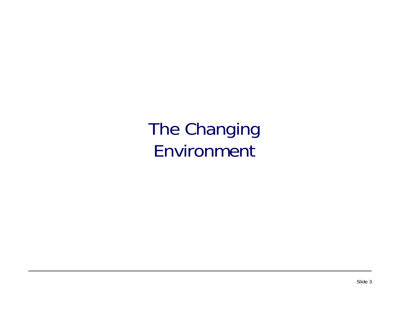The Changing Environment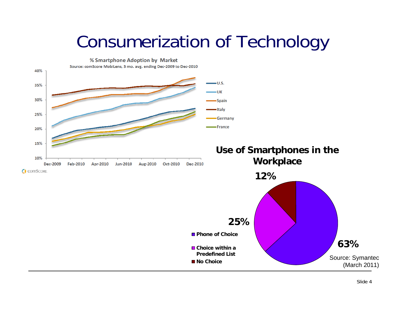### Consumerization of Technology

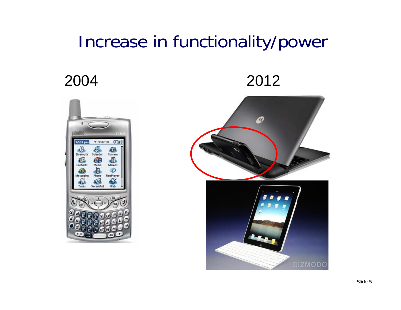### Increase in functionality/power

### 2004 2012



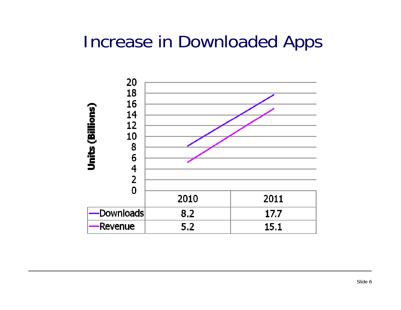### Increase in Downloaded Apps

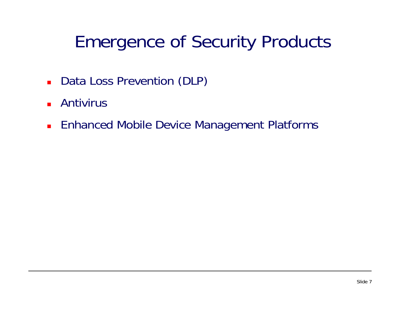## Emergence of Security Products

- **Data Loss Prevention (DLP)**
- Antivirus
- **Enhanced Mobile Device Management Platforms**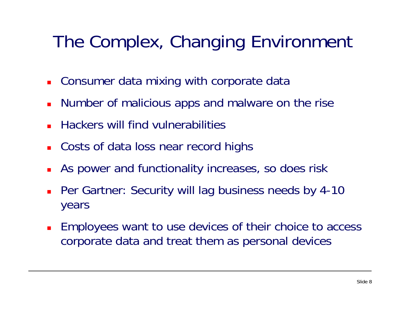## The Complex, Changing Environment

- **Example 2 Consumer data mixing with corporate data**
- Number of malicious apps and malware on the rise
- П Hackers will find vulnerabilities
- **Costs of data loss near record highs**
- П As power and functionality increases, so does risk
- **Per Gartner: Security will lag business needs by 4-10** years
- Employees want to use devices of their choice to access corporate data and treat them as personal devices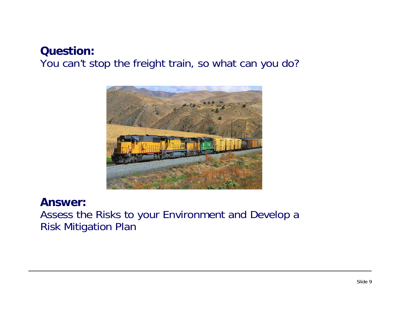#### **Question:** You can't stop the freight train, so what can you do?



#### **Answer:**

Assess the Risks to your Environment and Develop a Risk Mitigation Plan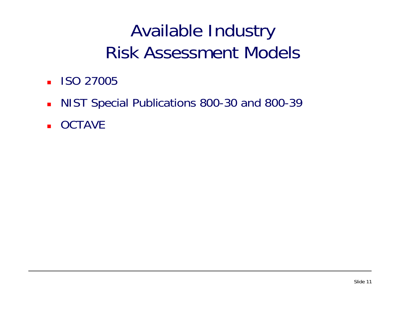- **ISO 27005**
- **NIST Special Publications 800-30 and 800-39**
- **OCTAVE**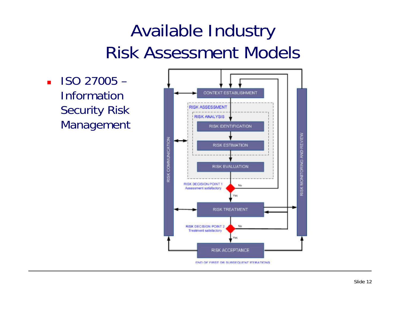$\blacksquare$  ISO 27005  $-$ **Information** Security Risk Management

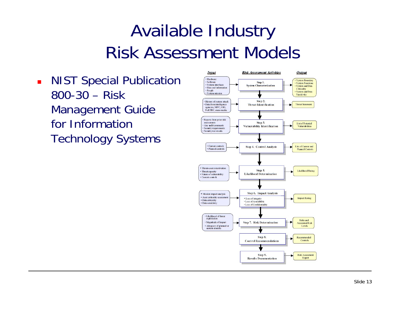**NIST Special Publication** 800-30 – Risk Management Guide for Information Technology Systems

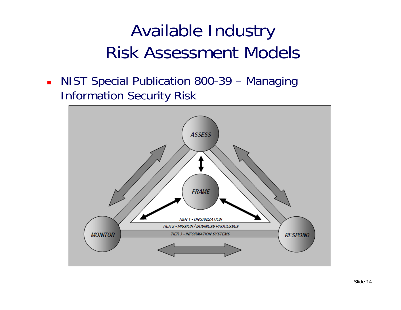**NIST Special Publication 800-39 – Managing** Information Security Risk

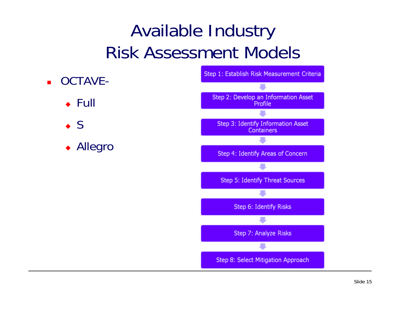- OCTAVE-
	- $\overline{\bullet}$  Full
	- $\bullet$  S
	- ◆ Allegro

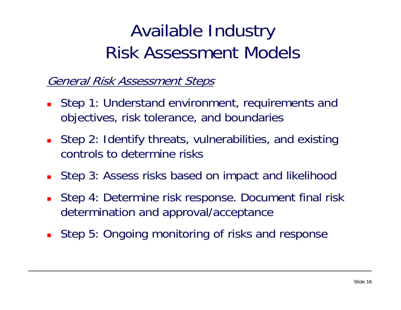#### General Risk Assessment Steps

- **Step 1: Understand environment, requirements and** objectives, risk tolerance, and boundaries
- Step 2: Identify threats, vulnerabilities, and existing controls to determine risks
- Step 3: Assess risks based on impact and likelihood
- Step 4: Determine risk response. Document final risk determination and approval/acceptance
- **Step 5: Ongoing monitoring of risks and response**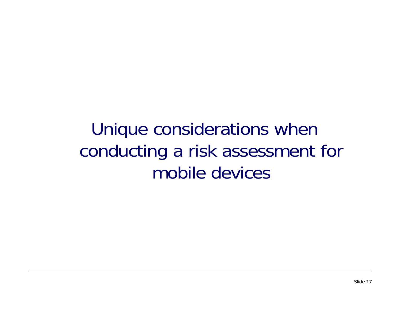Unique considerations when conducting a risk assessment for mobile devices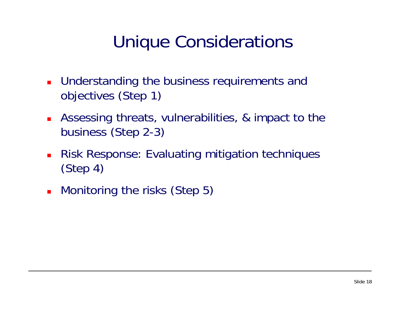### Unique Considerations

- **Understanding the business requirements and** objectives (Step 1)
- **Assessing threats, vulnerabilities, & impact to the** business (Step 2-3)
- $\blacksquare$  Risk Response: Evaluating mitigation techniques (Step 4)
- **Monitoring the risks (Step 5)**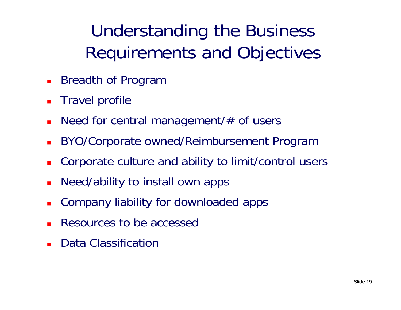Understanding the Business Requirements and Objectives

- **Breadth of Program**
- Travel profile
- П Need for central management/# of users
- $\overline{\phantom{a}}$ BYO/Corporate owned/Reimbursement Program
- Corporate culture and ability to limit/control users
- П Need/ability to install own apps
- L. Company liability for downloaded apps
- Resources to be accessed
- Data Classification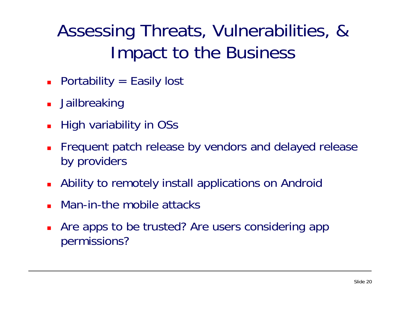## Assessing Threats, Vulnerabilities, & Impact to the Business

- Portability = Easily lost
- **Jailbreaking**
- П High variability in OSs
- Frequent patch release by vendors and delayed release by providers
- Ability to remotely install applications on Android
- $\overline{\phantom{a}}$ Man-in-the mobile attacks
- Are apps to be trusted? Are users considering app permissions?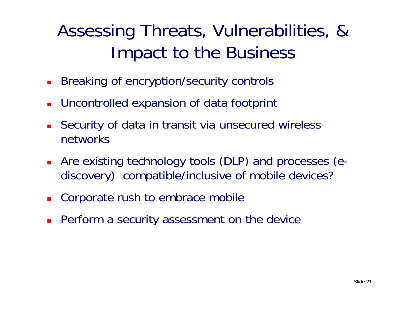### Assessing Threats, Vulnerabilities, & Impact to the Business

- П Breaking of encryption/security controls
- Uncontrolled expansion of data footprint
- П Security of data in transit via unsecured wireless networks
- Are existing technology tools (DLP) and processes (ediscovery) compatible/inclusive of mobile devices?
- Corporate rush to embrace mobile
- **Perform a security assessment on the device**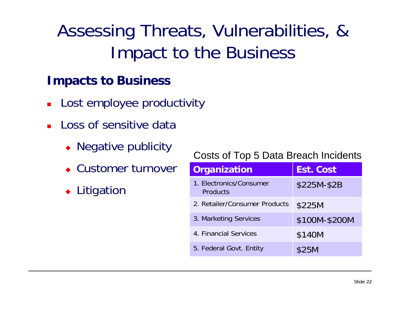## Assessing Threats, Vulnerabilities, & Impact to the Business

#### **Impacts to Business**

- Lost employee productivity
- П Loss of sensitive data
	- Negative publicity
	- Customer turnover
	- ◆ Litigation

#### Costs of Top 5 Data Breach Incidents

| Organization                               | <b>Est. Cost</b> |
|--------------------------------------------|------------------|
| 1. Electronics/Consumer<br><b>Products</b> | \$225M-\$2B      |
| 2. Retailer/Consumer Products              | \$225M           |
| 3. Marketing Services                      | \$100M-\$200M    |
| 4. Financial Services                      | \$140M           |
| 5. Federal Govt. Entity                    | \$25M            |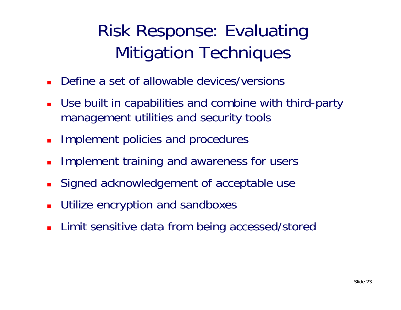## Risk Response: Evaluating Mitigation Techniques

- П Define a set of allowable devices/versions
- Use built in capabilities and combine with third-party management utilities and security tools
- Implement policies and procedures
- $\blacksquare$ Implement training and awareness for users
- Signed acknowledgement of acceptable use
- $\overline{\phantom{a}}$ Utilize encryption and sandboxes
- **Limit sensitive data from being accessed/stored**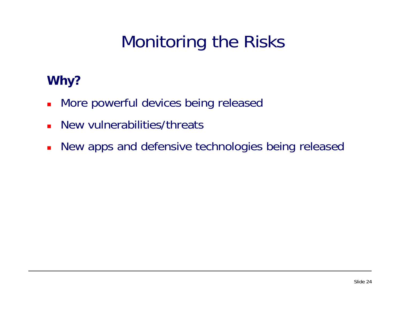## Monitoring the Risks

### **Why?**

- $\blacksquare$ More powerful devices being released
- П New vulnerabilities/threats
- $\blacksquare$ New apps and defensive technologies being released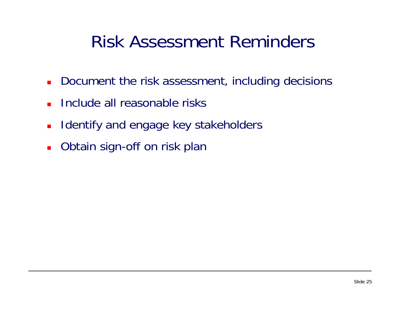### Risk Assessment Reminders

- **Document the risk assessment, including decisions**
- Include all reasonable risks
- $\blacksquare$ Identify and engage key stakeholders
- $\mathbf{r}$ Obtain sign-off on risk plan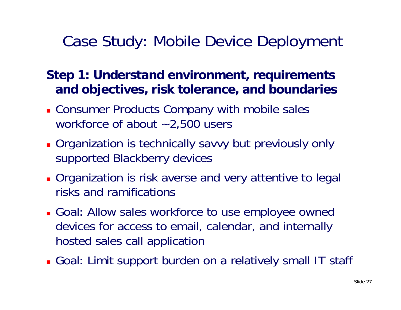### **Step 1: Understand environment, requirements and objectives, risk tolerance, and boundaries**

- **Consumer Products Company with mobile sales** workforce of about ~2,500 users
- **Qreanization is technically savvy but previously only** supported Blackberry devices
- **Organization is risk averse and very attentive to legal** risks and ramifications
- **Goal: Allow sales workforce to use employee owned** devices for access to email, calendar, and internally hosted sales call application
- Goal: Limit support burden on a relatively small IT staff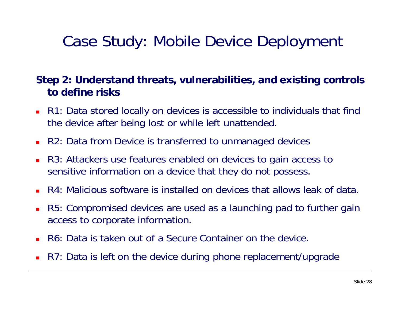#### **Step 2: Understand threats, vulnerabilities, and existing controls to define risks**

- R1: Data stored locally on devices is accessible to individuals that find the device after being lost or while left unattended.
- R2: Data from Device is transferred to unmanaged devices
- $\mathbf{r}$  R3: Attackers use features enabled on devices to gain access to sensitive information on a device that they do not possess.
- R4: Malicious software is installed on devices that allows leak of data.
- R5: Compromised devices are used as a launching pad to further gain access to corporate information.
- $\mathbf{r}$ R6: Data is taken out of a Secure Container on the device.
- R7: Data is left on the device during phone replacement/upgrade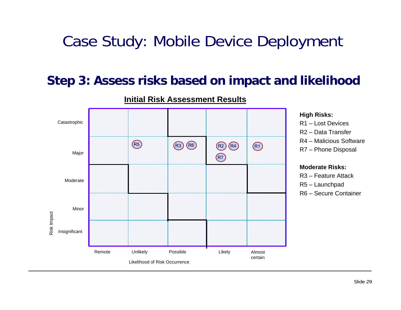#### **Step 3: Assess risks based on impact and likelihood**



#### **Initial Risk Assessment Results**

#### **High Risks:**

R1 – Lost DevicesR2 – Data TransferR4 – Malicious SoftwareR7 – Phone Disposal

#### **Moderate Risks:**

- R3 Feature Attack
- R5 Launchpad
- R6 Secure Container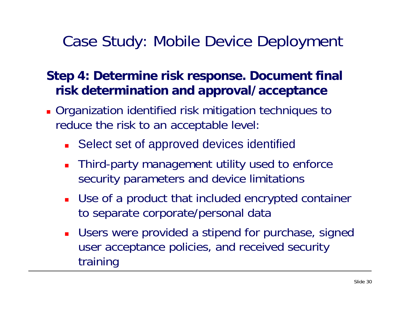- Organization identified risk mitigation techniques to reduce the risk to an acceptable level:
	- **Select set of approved devices identified**
	- $\blacksquare$  Third-party management utility used to enforce security parameters and device limitations
	- Use of a product that included encrypted container to separate corporate/personal data
	- $\blacksquare$  Users were provided a stipend for purchase, signed user acceptance policies, and received security training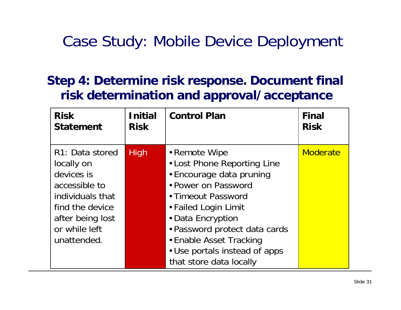| <b>Risk</b>                                                                                                                                             | <b>Initial</b> | <b>Control Plan</b>                                                                                                                                                                                                                                                                        | <b>Final</b>    |
|---------------------------------------------------------------------------------------------------------------------------------------------------------|----------------|--------------------------------------------------------------------------------------------------------------------------------------------------------------------------------------------------------------------------------------------------------------------------------------------|-----------------|
| <b>Statement</b>                                                                                                                                        | <b>Risk</b>    |                                                                                                                                                                                                                                                                                            | <b>Risk</b>     |
| R1: Data stored<br>locally on<br>devices is<br>accessible to<br>individuals that<br>find the device<br>after being lost<br>or while left<br>unattended. | <b>High</b>    | • Remote Wipe<br>• Lost Phone Reporting Line<br>• Encourage data pruning<br>• Power on Password<br>• Timeout Password<br>• Failed Login Limit<br>• Data Encryption<br>• Password protect data cards<br>• Enable Asset Tracking<br>• Use portals instead of apps<br>that store data locally | <b>Moderate</b> |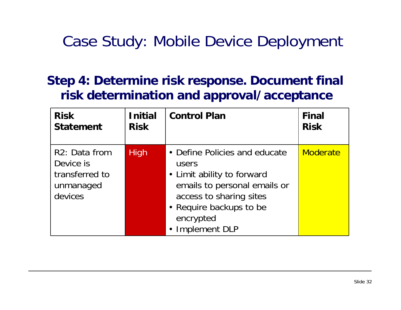| <b>Risk</b>                                                          | <b>Initial</b> | <b>Control Plan</b>                                                                                                                                                                        | <b>Final</b>    |
|----------------------------------------------------------------------|----------------|--------------------------------------------------------------------------------------------------------------------------------------------------------------------------------------------|-----------------|
| <b>Statement</b>                                                     | <b>Risk</b>    |                                                                                                                                                                                            | <b>Risk</b>     |
| R2: Data from<br>Device is<br>transferred to<br>unmanaged<br>devices | <b>High</b>    | • Define Policies and educate<br>users<br>• Limit ability to forward<br>emails to personal emails or<br>access to sharing sites<br>• Require backups to be<br>encrypted<br>• Implement DLP | <b>Moderate</b> |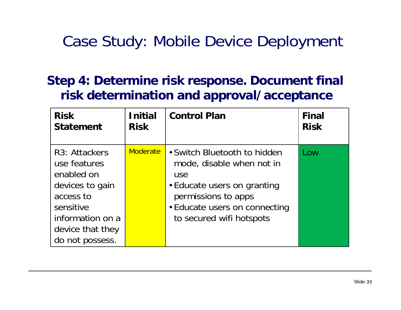| <b>Risk</b>                                                                                                                                                      | <b>Initial</b>  | <b>Control Plan</b>                                                                                                                                                                 | <b>Final</b> |
|------------------------------------------------------------------------------------------------------------------------------------------------------------------|-----------------|-------------------------------------------------------------------------------------------------------------------------------------------------------------------------------------|--------------|
| <b>Statement</b>                                                                                                                                                 | <b>Risk</b>     |                                                                                                                                                                                     | <b>Risk</b>  |
| R <sub>3</sub> : Attackers<br>use features<br>enabled on<br>devices to gain<br>access to<br>sensitive<br>information on a<br>device that they<br>do not possess. | <b>Moderate</b> | • Switch Bluetooth to hidden<br>mode, disable when not in<br>use<br>• Educate users on granting<br>permissions to apps<br>• Educate users on connecting<br>to secured wifi hotspots | Low          |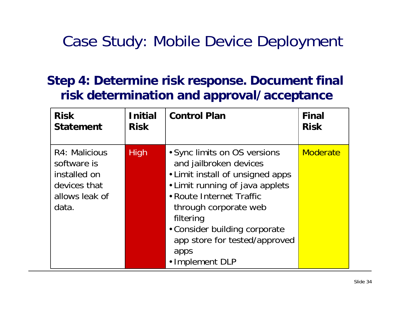| <b>Risk</b>                                                                             | <b>Initial</b> | <b>Control Plan</b>                                                                                                                                                                                                                                                                          | <b>Final</b>    |
|-----------------------------------------------------------------------------------------|----------------|----------------------------------------------------------------------------------------------------------------------------------------------------------------------------------------------------------------------------------------------------------------------------------------------|-----------------|
| <b>Statement</b>                                                                        | <b>Risk</b>    |                                                                                                                                                                                                                                                                                              | <b>Risk</b>     |
| R4: Malicious<br>software is<br>installed on<br>devices that<br>allows leak of<br>data. | <b>High</b>    | • Sync limits on OS versions<br>and jailbroken devices<br>• Limit install of unsigned apps<br>• Limit running of java applets<br>• Route Internet Traffic<br>through corporate web<br>filtering<br>• Consider building corporate<br>app store for tested/approved<br>apps<br>· Implement DLP | <b>Moderate</b> |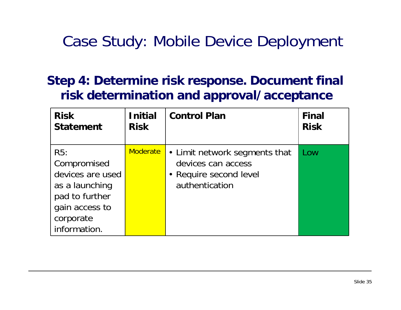| <b>Risk</b>                                                                                                               | <b>Initial</b>  | <b>Control Plan</b>                                                                             | <b>Final</b> |
|---------------------------------------------------------------------------------------------------------------------------|-----------------|-------------------------------------------------------------------------------------------------|--------------|
| <b>Statement</b>                                                                                                          | <b>Risk</b>     |                                                                                                 | <b>Risk</b>  |
| R5:<br>Compromised<br>devices are used<br>as a launching<br>pad to further<br>gain access to<br>corporate<br>information. | <b>Moderate</b> | • Limit network segments that<br>devices can access<br>• Require second level<br>authentication | Low          |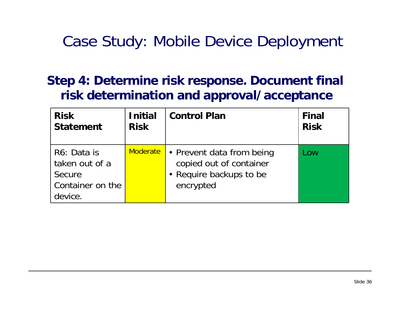| <b>Risk</b>                                                            | <b>Initial</b>  | <b>Control Plan</b>                                                                          | <b>Final</b> |
|------------------------------------------------------------------------|-----------------|----------------------------------------------------------------------------------------------|--------------|
| <b>Statement</b>                                                       | <b>Risk</b>     |                                                                                              | <b>Risk</b>  |
| R6: Data is<br>taken out of a<br>Secure<br>Container on the<br>device. | <b>Moderate</b> | • Prevent data from being<br>copied out of container<br>• Require backups to be<br>encrypted | <b>OW</b>    |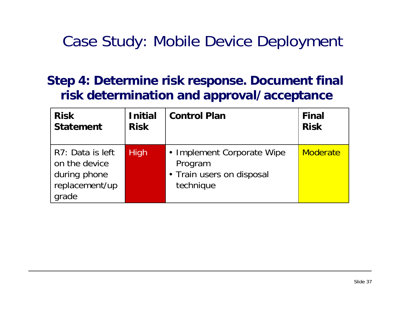| <b>Risk</b>                                                                  | <b>Initial</b> | <b>Control Plan</b>                                                             | <b>Final</b> |
|------------------------------------------------------------------------------|----------------|---------------------------------------------------------------------------------|--------------|
| <b>Statement</b>                                                             | <b>Risk</b>    |                                                                                 | <b>Risk</b>  |
| R7: Data is left<br>on the device<br>during phone<br>replacement/up<br>grade | <b>High</b>    | • Implement Corporate Wipe<br>Program<br>• Train users on disposal<br>technique | Moderate     |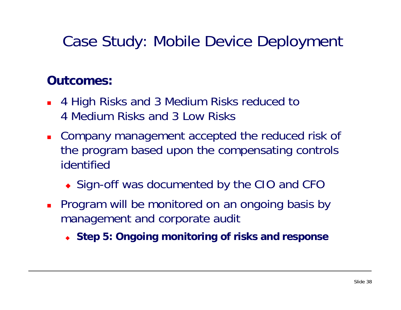### **Outcomes:**

- 4 High Risks and 3 Medium Risks reduced to 4 Medium Risks and 3 Low Risks
- **Company management accepted the reduced risk of** the program based upon the compensating controls identified
	- ◆ Sign-off was documented by the CIO and CFC
- **Program will be monitored on an ongoing basis by** management and corporate audit
	- **Step 5: Ongoing monitoring of risks and response**